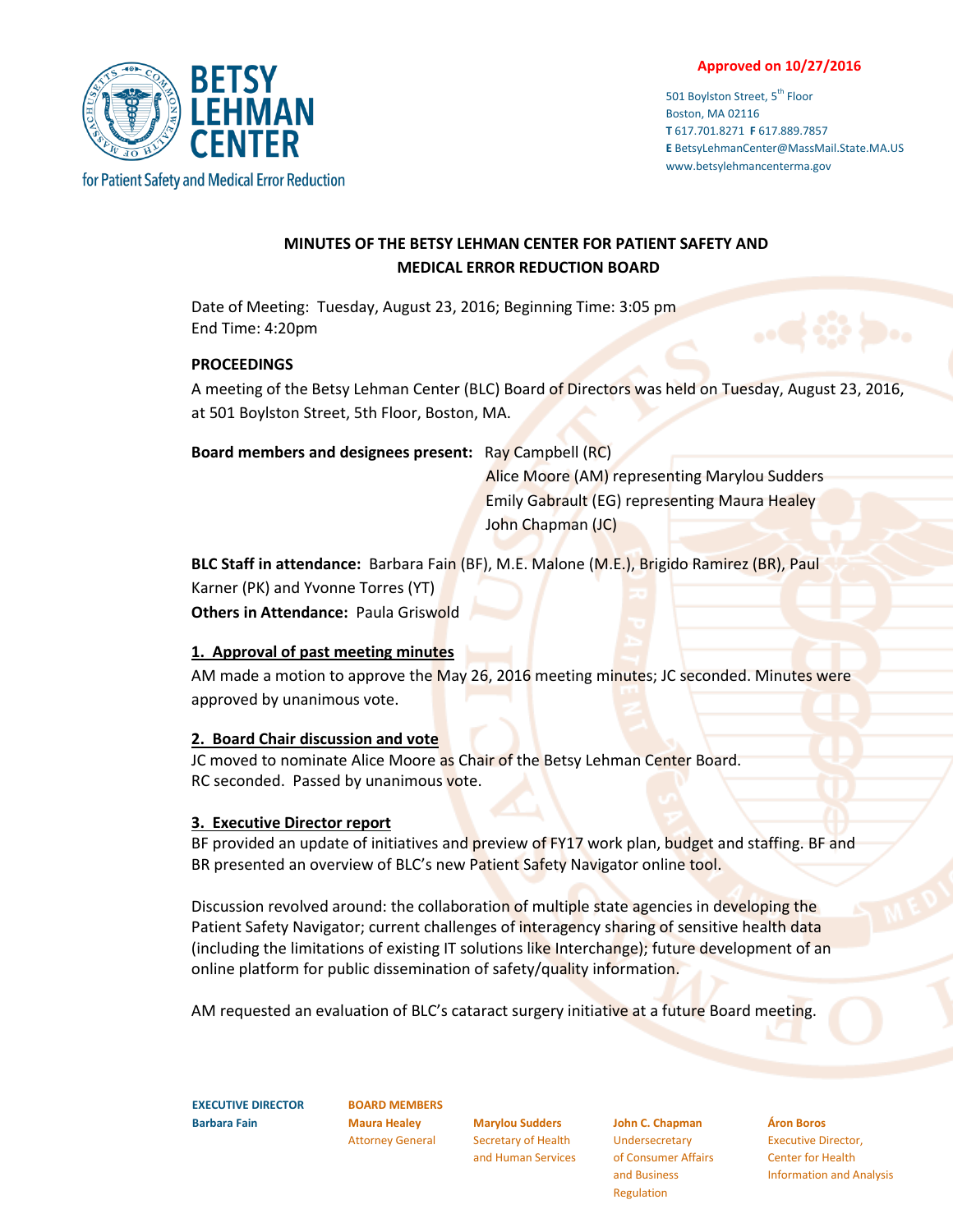#### **Approved on 10/27/2016**

501 Boylston Street, 5<sup>th</sup> Floor Boston, MA 02116 **T** 617.701.8271 **F** 617.889.7857 **E** BetsyLehmanCenter@MassMail.State.MA.US www.betsylehmancenterma.gov



# **MINUTES OF THE BETSY LEHMAN CENTER FOR PATIENT SAFETY AND MEDICAL ERROR REDUCTION BOARD**

Date of Meeting: Tuesday, August 23, 2016; Beginning Time: 3:05 pm End Time: 4:20pm

#### **PROCEEDINGS**

A meeting of the Betsy Lehman Center (BLC) Board of Directors was held on Tuesday, August 23, 2016, at 501 Boylston Street, 5th Floor, Boston, MA.

**Board members and designees present:** Ray Campbell (RC)

 Alice Moore (AM) representing Marylou Sudders Emily Gabrault (EG) representing Maura Healey John Chapman (JC)

**BLC Staff in attendance:** Barbara Fain (BF), M.E. Malone (M.E.), Brigido Ramirez (BR), Paul Karner (PK) and Yvonne Torres (YT)

**Others in Attendance: Paula Griswold** 

## **1. Approval of past meeting minutes**

AM made a motion to approve the May 26, 2016 meeting minutes; JC seconded. Minutes were approved by unanimous vote.

## **2. Board Chair discussion and vote**

JC moved to nominate Alice Moore as Chair of the Betsy Lehman Center Board. RC seconded. Passed by unanimous vote.

## **3. Executive Director report**

BF provided an update of initiatives and preview of FY17 work plan, budget and staffing. BF and BR presented an overview of BLC's new Patient Safety Navigator online tool.

Discussion revolved around: the collaboration of multiple state agencies in developing the Patient Safety Navigator; current challenges of interagency sharing of sensitive health data (including the limitations of existing IT solutions like Interchange); future development of an online platform for public dissemination of safety/quality information.

AM requested an evaluation of BLC's cataract surgery initiative at a future Board meeting.

**EXECUTIVE DIRECTOR Barbara Fain**

**BOARD MEMBERS Maura Healey** Attorney General

**Marylou Sudders** Secretary of Health and Human Services

**John C. Chapman** Undersecretary of Consumer Affairs and Business Regulation

**Áron Boros**

Executive Director, Center for Health Information and Analysis